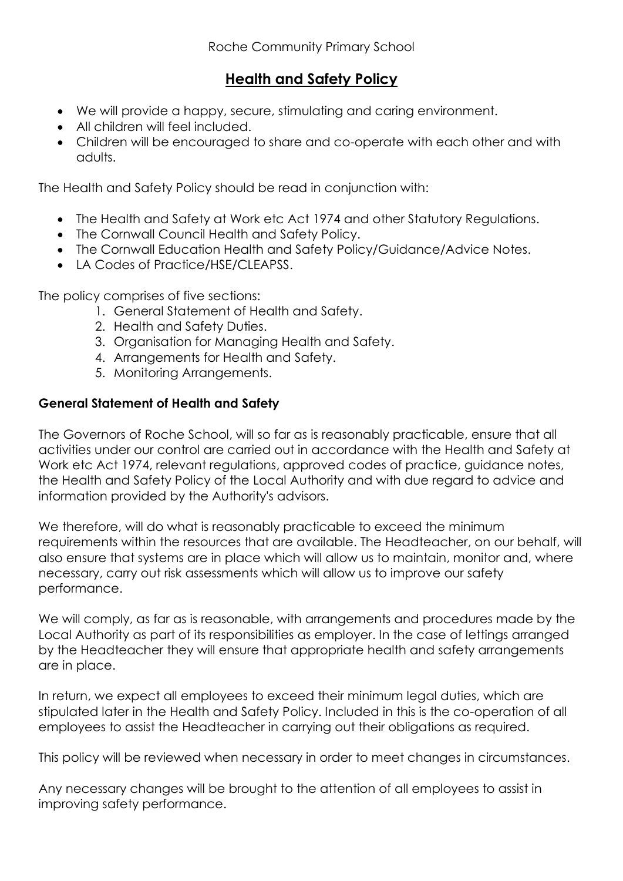# **Health and Safety Policy**

- We will provide a happy, secure, stimulating and caring environment.
- All children will feel included.
- Children will be encouraged to share and co-operate with each other and with adults.

The Health and Safety Policy should be read in conjunction with:

- The Health and Safety at Work etc Act 1974 and other Statutory Regulations.
- The Cornwall Council Health and Safety Policy.
- The Cornwall Education Health and Safety Policy/Guidance/Advice Notes.
- LA Codes of Practice/HSE/CLEAPSS.

The policy comprises of five sections:

- 1. General Statement of Health and Safety.
- 2. Health and Safety Duties.
- 3. Organisation for Managing Health and Safety.
- 4. Arrangements for Health and Safety.
- 5. Monitoring Arrangements.

# **General Statement of Health and Safety**

The Governors of Roche School, will so far as is reasonably practicable, ensure that all activities under our control are carried out in accordance with the Health and Safety at Work etc Act 1974, relevant regulations, approved codes of practice, guidance notes, the Health and Safety Policy of the Local Authority and with due regard to advice and information provided by the Authority's advisors.

We therefore, will do what is reasonably practicable to exceed the minimum requirements within the resources that are available. The Headteacher, on our behalf, will also ensure that systems are in place which will allow us to maintain, monitor and, where necessary, carry out risk assessments which will allow us to improve our safety performance.

We will comply, as far as is reasonable, with arrangements and procedures made by the Local Authority as part of its responsibilities as employer. In the case of lettings arranged by the Headteacher they will ensure that appropriate health and safety arrangements are in place.

In return, we expect all employees to exceed their minimum legal duties, which are stipulated later in the Health and Safety Policy. Included in this is the co-operation of all employees to assist the Headteacher in carrying out their obligations as required.

This policy will be reviewed when necessary in order to meet changes in circumstances.

Any necessary changes will be brought to the attention of all employees to assist in improving safety performance.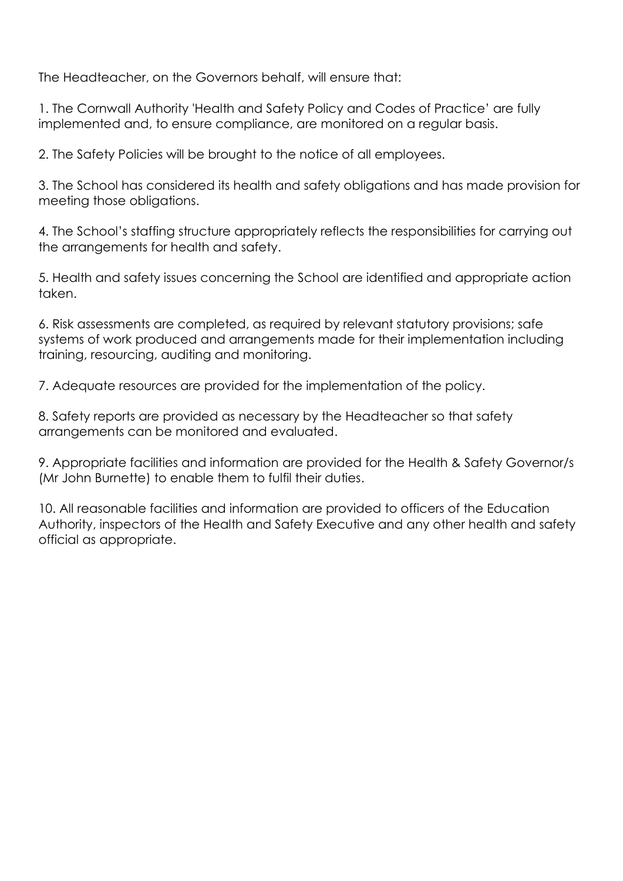The Headteacher, on the Governors behalf, will ensure that:

1. The Cornwall Authority 'Health and Safety Policy and Codes of Practice' are fully implemented and, to ensure compliance, are monitored on a regular basis.

2. The Safety Policies will be brought to the notice of all employees.

3. The School has considered its health and safety obligations and has made provision for meeting those obligations.

4. The School's staffing structure appropriately reflects the responsibilities for carrying out the arrangements for health and safety.

5. Health and safety issues concerning the School are identified and appropriate action taken.

6. Risk assessments are completed, as required by relevant statutory provisions; safe systems of work produced and arrangements made for their implementation including training, resourcing, auditing and monitoring.

7. Adequate resources are provided for the implementation of the policy.

8. Safety reports are provided as necessary by the Headteacher so that safety arrangements can be monitored and evaluated.

9. Appropriate facilities and information are provided for the Health & Safety Governor/s (Mr John Burnette) to enable them to fulfil their duties.

10. All reasonable facilities and information are provided to officers of the Education Authority, inspectors of the Health and Safety Executive and any other health and safety official as appropriate.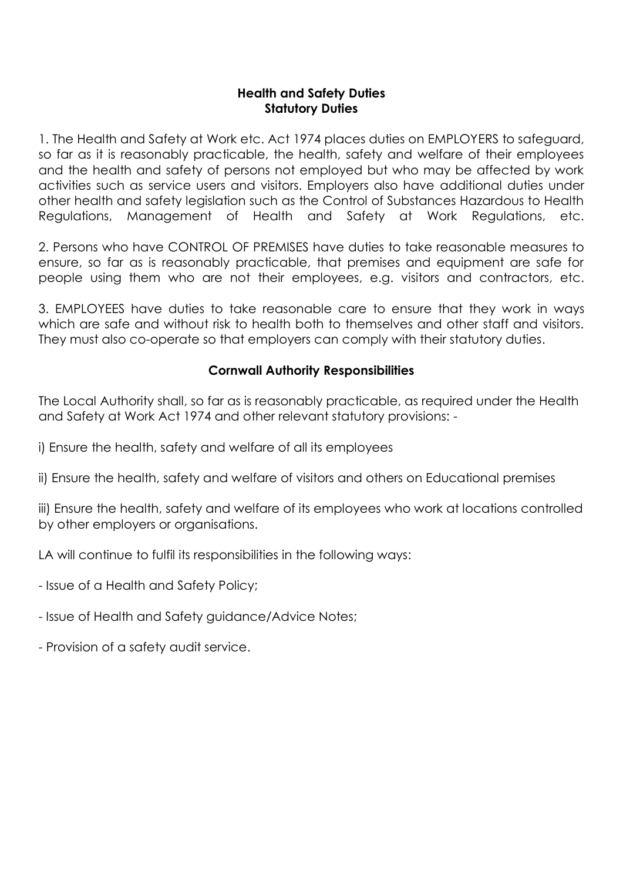#### **Health and Safety Duties Statutory Duties**

1. The Health and Safety at Work etc. Act 1974 places duties on EMPLOYERS to safeguard, so far as it is reasonably practicable, the health, safety and welfare of their employees and the health and safety of persons not employed but who may be affected by work activities such as service users and visitors. Employers also have additional duties under other health and safety legislation such as the Control of Substances Hazardous to Health Regulations, Management of Health and Safety at Work Regulations, etc.

2. Persons who have CONTROL OF PREMISES have duties to take reasonable measures to ensure, so far as is reasonably practicable, that premises and equipment are safe for people using them who are not their employees, e.g. visitors and contractors, etc.

3. EMPLOYEES have duties to take reasonable care to ensure that they work in ways which are safe and without risk to health both to themselves and other staff and visitors. They must also co-operate so that employers can comply with their statutory duties.

#### **Cornwall Authority Responsibilities**

The Local Authority shall, so far as is reasonably practicable, as required under the Health and Safety at Work Act 1974 and other relevant statutory provisions: -

i) Ensure the health, safety and welfare of all its employees

ii) Ensure the health, safety and welfare of visitors and others on Educational premises

iii) Ensure the health, safety and welfare of its employees who work at locations controlled by other employers or organisations.

LA will continue to fulfil its responsibilities in the following ways:

- Issue of a Health and Safety Policy;
- Issue of Health and Safety guidance/Advice Notes;
- Provision of a safety audit service.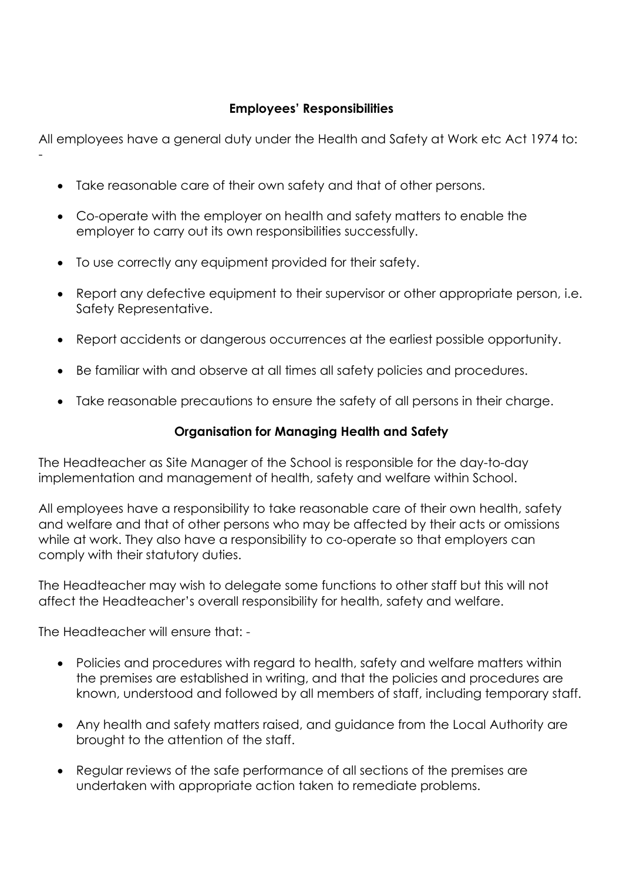# **Employees' Responsibilities**

All employees have a general duty under the Health and Safety at Work etc Act 1974 to:

- Take reasonable care of their own safety and that of other persons.
- Co-operate with the employer on health and safety matters to enable the employer to carry out its own responsibilities successfully.
- To use correctly any equipment provided for their safety.
- Report any defective equipment to their supervisor or other appropriate person, i.e. Safety Representative.
- Report accidents or dangerous occurrences at the earliest possible opportunity.
- Be familiar with and observe at all times all safety policies and procedures.
- Take reasonable precautions to ensure the safety of all persons in their charge.

# **Organisation for Managing Health and Safety**

The Headteacher as Site Manager of the School is responsible for the day-to-day implementation and management of health, safety and welfare within School.

All employees have a responsibility to take reasonable care of their own health, safety and welfare and that of other persons who may be affected by their acts or omissions while at work. They also have a responsibility to co-operate so that employers can comply with their statutory duties.

The Headteacher may wish to delegate some functions to other staff but this will not affect the Headteacher's overall responsibility for health, safety and welfare.

The Headteacher will ensure that: -

-

- Policies and procedures with regard to health, safety and welfare matters within the premises are established in writing, and that the policies and procedures are known, understood and followed by all members of staff, including temporary staff.
- Any health and safety matters raised, and guidance from the Local Authority are brought to the attention of the staff.
- Regular reviews of the safe performance of all sections of the premises are undertaken with appropriate action taken to remediate problems.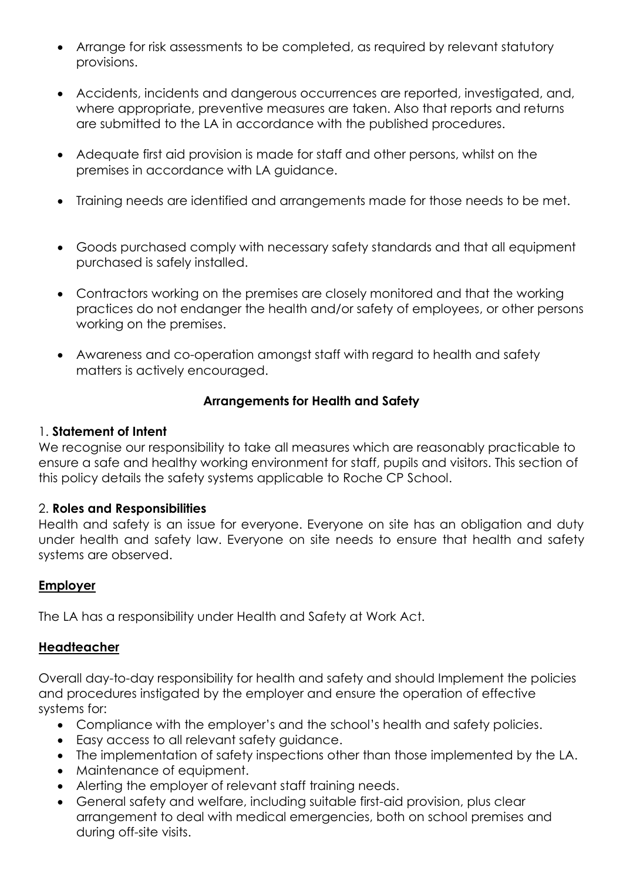- Arrange for risk assessments to be completed, as required by relevant statutory provisions.
- Accidents, incidents and dangerous occurrences are reported, investigated, and, where appropriate, preventive measures are taken. Also that reports and returns are submitted to the LA in accordance with the published procedures.
- Adequate first aid provision is made for staff and other persons, whilst on the premises in accordance with LA guidance.
- Training needs are identified and arrangements made for those needs to be met.
- Goods purchased comply with necessary safety standards and that all equipment purchased is safely installed.
- Contractors working on the premises are closely monitored and that the working practices do not endanger the health and/or safety of employees, or other persons working on the premises.
- Awareness and co-operation amongst staff with regard to health and safety matters is actively encouraged.

# **Arrangements for Health and Safety**

#### 1. **Statement of Intent**

We recognise our responsibility to take all measures which are reasonably practicable to ensure a safe and healthy working environment for staff, pupils and visitors. This section of this policy details the safety systems applicable to Roche CP School.

#### 2. **Roles and Responsibilities**

Health and safety is an issue for everyone. Everyone on site has an obligation and duty under health and safety law. Everyone on site needs to ensure that health and safety systems are observed.

#### **Employer**

The LA has a responsibility under Health and Safety at Work Act.

#### **Headteacher**

Overall day-to-day responsibility for health and safety and should Implement the policies and procedures instigated by the employer and ensure the operation of effective systems for:

- Compliance with the employer's and the school's health and safety policies.
- Easy access to all relevant safety guidance.
- The implementation of safety inspections other than those implemented by the LA.
- Maintenance of equipment.
- Alerting the employer of relevant staff training needs.
- General safety and welfare, including suitable first-aid provision, plus clear arrangement to deal with medical emergencies, both on school premises and during off-site visits.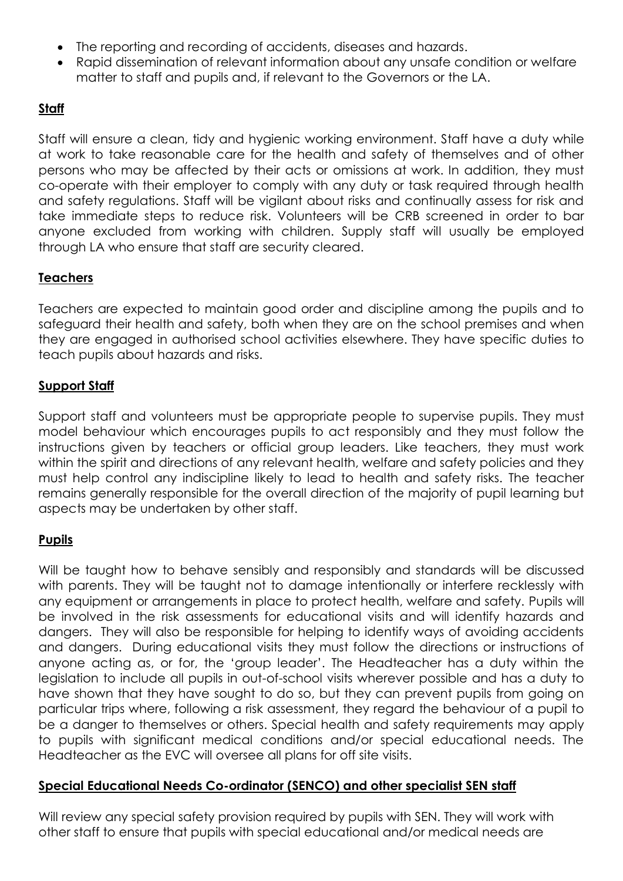- The reporting and recording of accidents, diseases and hazards.
- Rapid dissemination of relevant information about any unsafe condition or welfare matter to staff and pupils and, if relevant to the Governors or the LA.

# **Staff**

Staff will ensure a clean, tidy and hygienic working environment. Staff have a duty while at work to take reasonable care for the health and safety of themselves and of other persons who may be affected by their acts or omissions at work. In addition, they must co-operate with their employer to comply with any duty or task required through health and safety regulations. Staff will be vigilant about risks and continually assess for risk and take immediate steps to reduce risk. Volunteers will be CRB screened in order to bar anyone excluded from working with children. Supply staff will usually be employed through LA who ensure that staff are security cleared.

# **Teachers**

Teachers are expected to maintain good order and discipline among the pupils and to safeguard their health and safety, both when they are on the school premises and when they are engaged in authorised school activities elsewhere. They have specific duties to teach pupils about hazards and risks.

# **Support Staff**

Support staff and volunteers must be appropriate people to supervise pupils. They must model behaviour which encourages pupils to act responsibly and they must follow the instructions given by teachers or official group leaders. Like teachers, they must work within the spirit and directions of any relevant health, welfare and safety policies and they must help control any indiscipline likely to lead to health and safety risks. The teacher remains generally responsible for the overall direction of the majority of pupil learning but aspects may be undertaken by other staff.

# **Pupils**

Will be taught how to behave sensibly and responsibly and standards will be discussed with parents. They will be taught not to damage intentionally or interfere recklessly with any equipment or arrangements in place to protect health, welfare and safety. Pupils will be involved in the risk assessments for educational visits and will identify hazards and dangers. They will also be responsible for helping to identify ways of avoiding accidents and dangers. During educational visits they must follow the directions or instructions of anyone acting as, or for, the 'group leader'. The Headteacher has a duty within the legislation to include all pupils in out-of-school visits wherever possible and has a duty to have shown that they have sought to do so, but they can prevent pupils from going on particular trips where, following a risk assessment, they regard the behaviour of a pupil to be a danger to themselves or others. Special health and safety requirements may apply to pupils with significant medical conditions and/or special educational needs. The Headteacher as the EVC will oversee all plans for off site visits.

# **Special Educational Needs Co-ordinator (SENCO) and other specialist SEN staff**

Will review any special safety provision required by pupils with SEN. They will work with other staff to ensure that pupils with special educational and/or medical needs are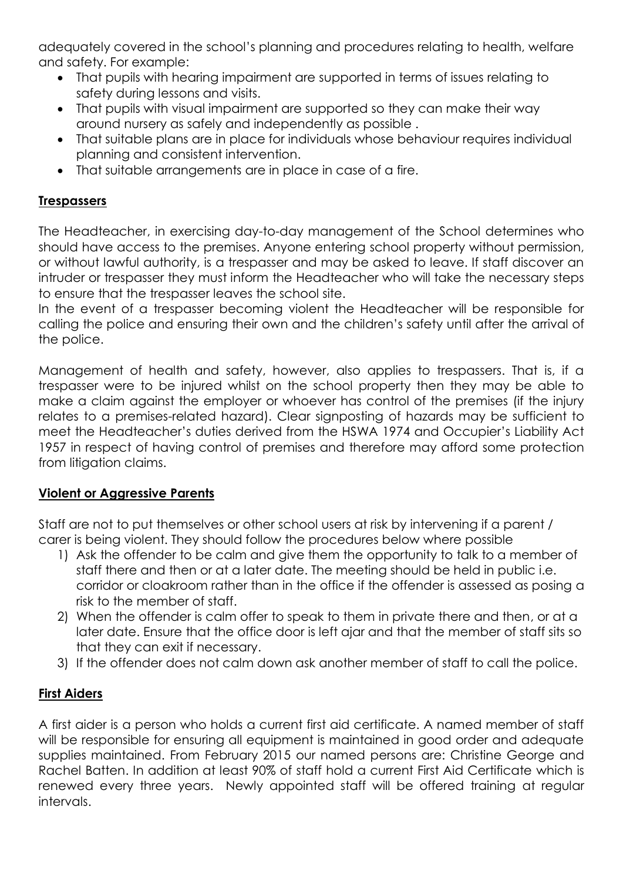adequately covered in the school's planning and procedures relating to health, welfare and safety. For example:

- That pupils with hearing impairment are supported in terms of issues relating to safety during lessons and visits.
- That pupils with visual impairment are supported so they can make their way around nursery as safely and independently as possible .
- That suitable plans are in place for individuals whose behaviour requires individual planning and consistent intervention.
- That suitable arrangements are in place in case of a fire.

# **Trespassers**

The Headteacher, in exercising day-to-day management of the School determines who should have access to the premises. Anyone entering school property without permission, or without lawful authority, is a trespasser and may be asked to leave. If staff discover an intruder or trespasser they must inform the Headteacher who will take the necessary steps to ensure that the trespasser leaves the school site.

In the event of a trespasser becoming violent the Headteacher will be responsible for calling the police and ensuring their own and the children's safety until after the arrival of the police.

Management of health and safety, however, also applies to trespassers. That is, if a trespasser were to be injured whilst on the school property then they may be able to make a claim against the employer or whoever has control of the premises (if the injury relates to a premises-related hazard). Clear signposting of hazards may be sufficient to meet the Headteacher's duties derived from the HSWA 1974 and Occupier's Liability Act 1957 in respect of having control of premises and therefore may afford some protection from litigation claims.

# **Violent or Aggressive Parents**

Staff are not to put themselves or other school users at risk by intervening if a parent / carer is being violent. They should follow the procedures below where possible

- 1) Ask the offender to be calm and give them the opportunity to talk to a member of staff there and then or at a later date. The meeting should be held in public i.e. corridor or cloakroom rather than in the office if the offender is assessed as posing a risk to the member of staff.
- 2) When the offender is calm offer to speak to them in private there and then, or at a later date. Ensure that the office door is left ajar and that the member of staff sits so that they can exit if necessary.
- 3) If the offender does not calm down ask another member of staff to call the police.

# **First Aiders**

A first aider is a person who holds a current first aid certificate. A named member of staff will be responsible for ensuring all equipment is maintained in good order and adequate supplies maintained. From February 2015 our named persons are: Christine George and Rachel Batten. In addition at least 90% of staff hold a current First Aid Certificate which is renewed every three years. Newly appointed staff will be offered training at regular intervals.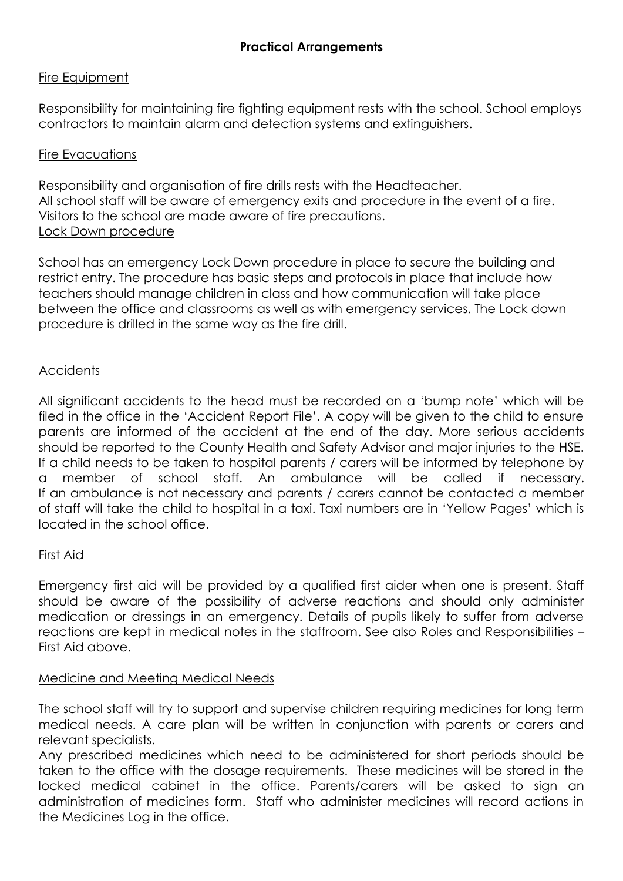# Fire Equipment

Responsibility for maintaining fire fighting equipment rests with the school. School employs contractors to maintain alarm and detection systems and extinguishers.

#### Fire Evacuations

Responsibility and organisation of fire drills rests with the Headteacher. All school staff will be aware of emergency exits and procedure in the event of a fire. Visitors to the school are made aware of fire precautions. Lock Down procedure

School has an emergency Lock Down procedure in place to secure the building and restrict entry. The procedure has basic steps and protocols in place that include how teachers should manage children in class and how communication will take place between the office and classrooms as well as with emergency services. The Lock down procedure is drilled in the same way as the fire drill.

### Accidents

All significant accidents to the head must be recorded on a 'bump note' which will be filed in the office in the 'Accident Report File'. A copy will be given to the child to ensure parents are informed of the accident at the end of the day. More serious accidents should be reported to the County Health and Safety Advisor and major injuries to the HSE. If a child needs to be taken to hospital parents / carers will be informed by telephone by a member of school staff. An ambulance will be called if necessary. If an ambulance is not necessary and parents / carers cannot be contacted a member of staff will take the child to hospital in a taxi. Taxi numbers are in 'Yellow Pages' which is located in the school office.

#### First Aid

Emergency first aid will be provided by a qualified first aider when one is present. Staff should be aware of the possibility of adverse reactions and should only administer medication or dressings in an emergency. Details of pupils likely to suffer from adverse reactions are kept in medical notes in the staffroom. See also Roles and Responsibilities – First Aid above.

#### Medicine and Meeting Medical Needs

The school staff will try to support and supervise children requiring medicines for long term medical needs. A care plan will be written in conjunction with parents or carers and relevant specialists.

Any prescribed medicines which need to be administered for short periods should be taken to the office with the dosage requirements. These medicines will be stored in the locked medical cabinet in the office. Parents/carers will be asked to sign an administration of medicines form. Staff who administer medicines will record actions in the Medicines Log in the office.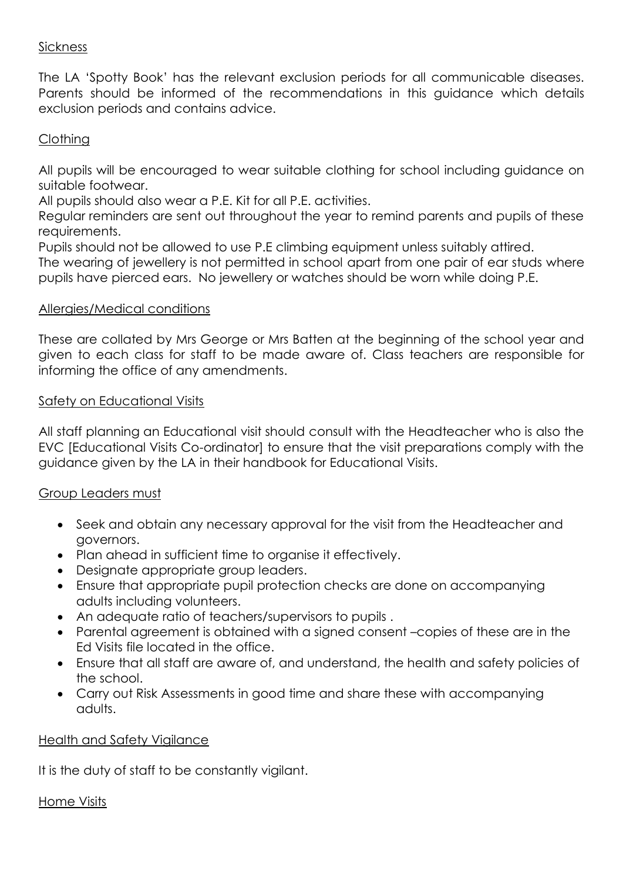### Sickness

The LA 'Spotty Book' has the relevant exclusion periods for all communicable diseases. Parents should be informed of the recommendations in this guidance which details exclusion periods and contains advice.

### Clothing

All pupils will be encouraged to wear suitable clothing for school including guidance on suitable footwear.

All pupils should also wear a P.E. Kit for all P.E. activities.

Regular reminders are sent out throughout the year to remind parents and pupils of these requirements.

Pupils should not be allowed to use P.E climbing equipment unless suitably attired.

The wearing of jewellery is not permitted in school apart from one pair of ear studs where pupils have pierced ears. No jewellery or watches should be worn while doing P.E.

#### Allergies/Medical conditions

These are collated by Mrs George or Mrs Batten at the beginning of the school year and given to each class for staff to be made aware of. Class teachers are responsible for informing the office of any amendments.

#### Safety on Educational Visits

All staff planning an Educational visit should consult with the Headteacher who is also the EVC [Educational Visits Co-ordinator] to ensure that the visit preparations comply with the guidance given by the LA in their handbook for Educational Visits.

#### Group Leaders must

- Seek and obtain any necessary approval for the visit from the Headteacher and governors.
- Plan ahead in sufficient time to organise it effectively.
- Designate appropriate group leaders.
- Ensure that appropriate pupil protection checks are done on accompanying adults including volunteers.
- An adequate ratio of teachers/supervisors to pupils .
- Parental agreement is obtained with a signed consent –copies of these are in the Ed Visits file located in the office.
- Ensure that all staff are aware of, and understand, the health and safety policies of the school.
- Carry out Risk Assessments in good time and share these with accompanying adults.

#### Health and Safety Vigilance

It is the duty of staff to be constantly vigilant.

#### Home Visits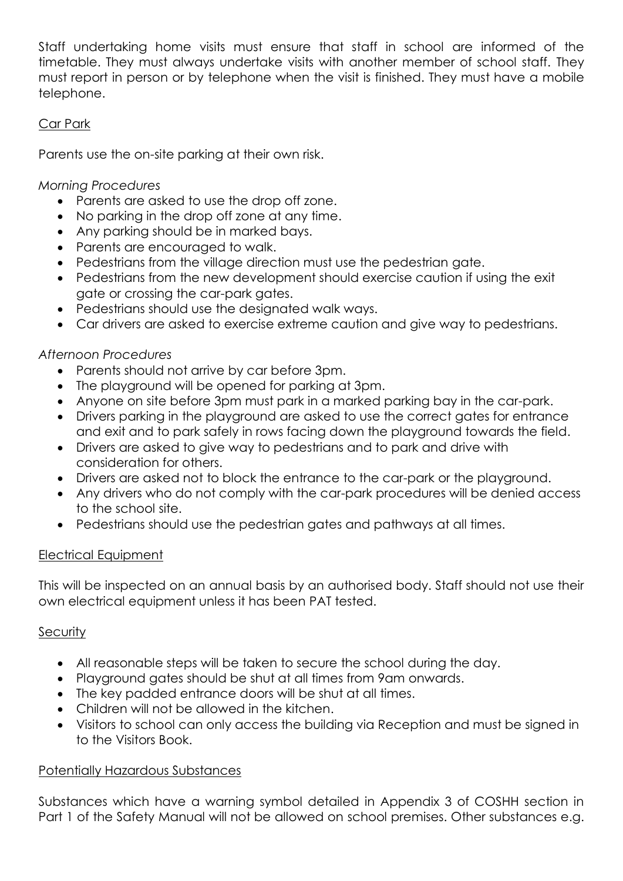Staff undertaking home visits must ensure that staff in school are informed of the timetable. They must always undertake visits with another member of school staff. They must report in person or by telephone when the visit is finished. They must have a mobile telephone.

### Car Park

Parents use the on-site parking at their own risk.

### *Morning Procedures*

- Parents are asked to use the drop off zone.
- No parking in the drop off zone at any time.
- Any parking should be in marked bays.
- Parents are encouraged to walk.
- Pedestrians from the village direction must use the pedestrian gate.
- Pedestrians from the new development should exercise caution if using the exit gate or crossing the car-park gates.
- Pedestrians should use the designated walk ways.
- Car drivers are asked to exercise extreme caution and give way to pedestrians.

### *Afternoon Procedures*

- Parents should not arrive by car before 3pm.
- The playground will be opened for parking at 3pm.
- Anyone on site before 3pm must park in a marked parking bay in the car-park.
- Drivers parking in the playground are asked to use the correct gates for entrance and exit and to park safely in rows facing down the playground towards the field.
- Drivers are asked to give way to pedestrians and to park and drive with consideration for others.
- Drivers are asked not to block the entrance to the car-park or the playground.
- Any drivers who do not comply with the car-park procedures will be denied access to the school site.
- Pedestrians should use the pedestrian gates and pathways at all times.

# Electrical Equipment

This will be inspected on an annual basis by an authorised body. Staff should not use their own electrical equipment unless it has been PAT tested.

# **Security**

- All reasonable steps will be taken to secure the school during the day.
- Playground gates should be shut at all times from 9am onwards.
- The key padded entrance doors will be shut at all times.
- Children will not be allowed in the kitchen.
- Visitors to school can only access the building via Reception and must be signed in to the Visitors Book.

# Potentially Hazardous Substances

Substances which have a warning symbol detailed in Appendix 3 of COSHH section in Part 1 of the Safety Manual will not be allowed on school premises. Other substances e.g.